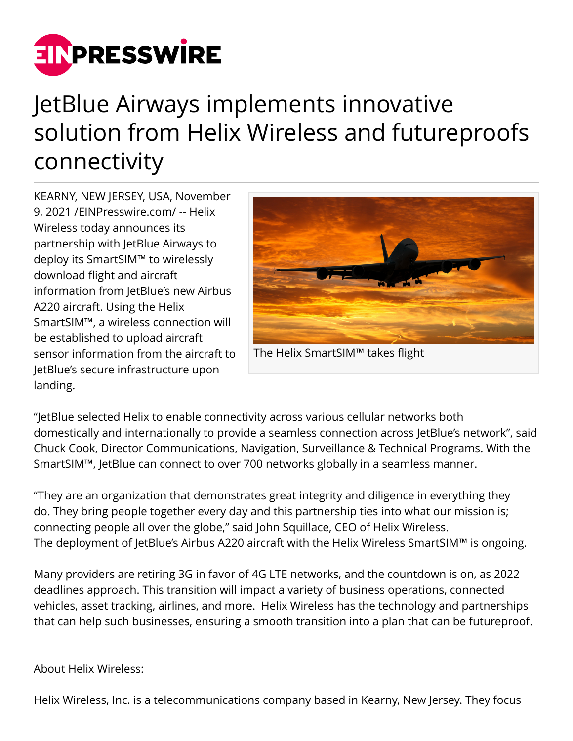

## JetBlue Airways implements innovative solution from Helix Wireless and futureproofs connectivity

KEARNY, NEW JERSEY, USA, November 9, 2021 /[EINPresswire.com/](http://www.einpresswire.com) -- Helix Wireless today announces its partnership with JetBlue Airways to deploy its SmartSIM™ to wirelessly download flight and aircraft information from JetBlue's new Airbus A220 aircraft. Using the Helix SmartSIM™, a wireless connection will be established to upload aircraft sensor information from the aircraft to JetBlue's secure infrastructure upon landing.



The Helix SmartSIM™ takes flight

"JetBlue selected Helix to enable connectivity across various cellular networks both domestically and internationally to provide a seamless connection across JetBlue's network", said Chuck Cook, Director Communications, Navigation, Surveillance & Technical Programs. With the SmartSIM™, JetBlue can connect to over 700 networks globally in a seamless manner.

"They are an organization that demonstrates great integrity and diligence in everything they do. They bring people together every day and this partnership ties into what our mission is; connecting people all over the globe," said John Squillace, CEO of Helix Wireless. The deployment of JetBlue's Airbus A220 aircraft with the Helix Wireless SmartSIM™ is ongoing.

Many providers are retiring 3G in favor of 4G LTE networks, and the countdown is on, as 2022 deadlines approach. This transition will impact a variety of business operations, connected vehicles, asset tracking, airlines, and more. Helix Wireless has the technology and partnerships that can help such businesses, ensuring a smooth transition into a plan that can be futureproof.

## About Helix Wireless:

Helix Wireless, Inc. is a telecommunications company based in Kearny, New Jersey. They focus